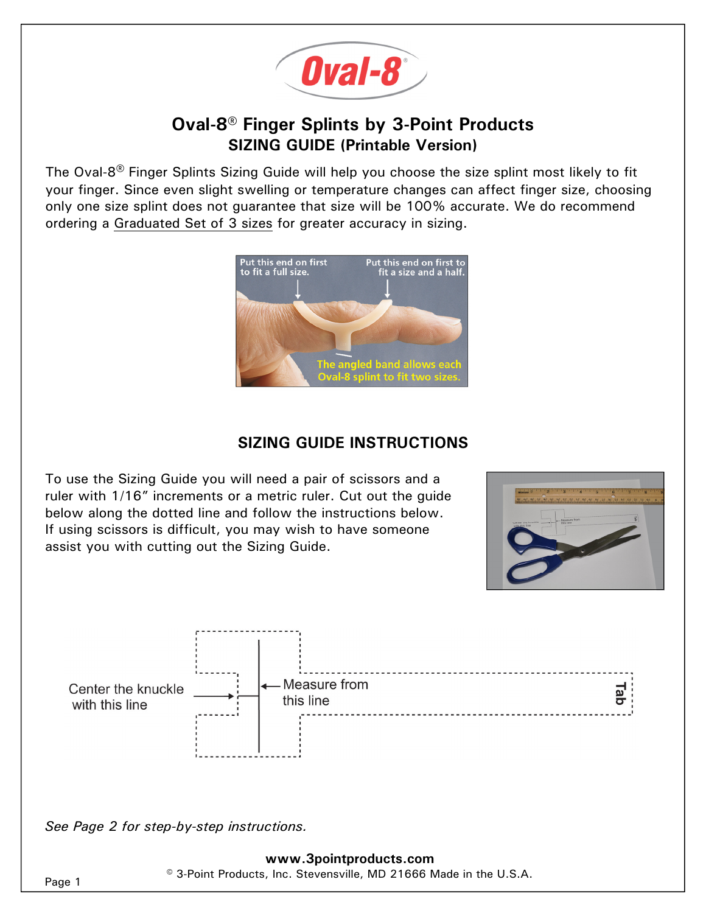

# **Oval-8® Finger Splints by 3-Point Products SIZING GUIDE (Printable Version)**

The Oval-8**®** Finger Splints Sizing Guide will help you choose the size splint most likely to fit your finger. Since even slight swelling or temperature changes can affect finger size, choosing only one size splint does not guarantee that size will be 100% accurate. We do recommend ordering a Graduated Set of 3 sizes for greater accuracy in sizing.



## **SIZING GUIDE INSTRUCTIONS**

To use the Sizing Guide you will need a pair of scissors and a ruler with 1/16" increments or a metric ruler. Cut out the guide below along the dotted line and follow the instructions below. If using scissors is difficult, you may wish to have someone assist you with cutting out the Sizing Guide.





*See Page 2 for step-by-step instructions.* 

#### **www.3pointproducts.com**  © 3-Point Products, Inc. Stevensville, MD 21666 Made in the U.S.A.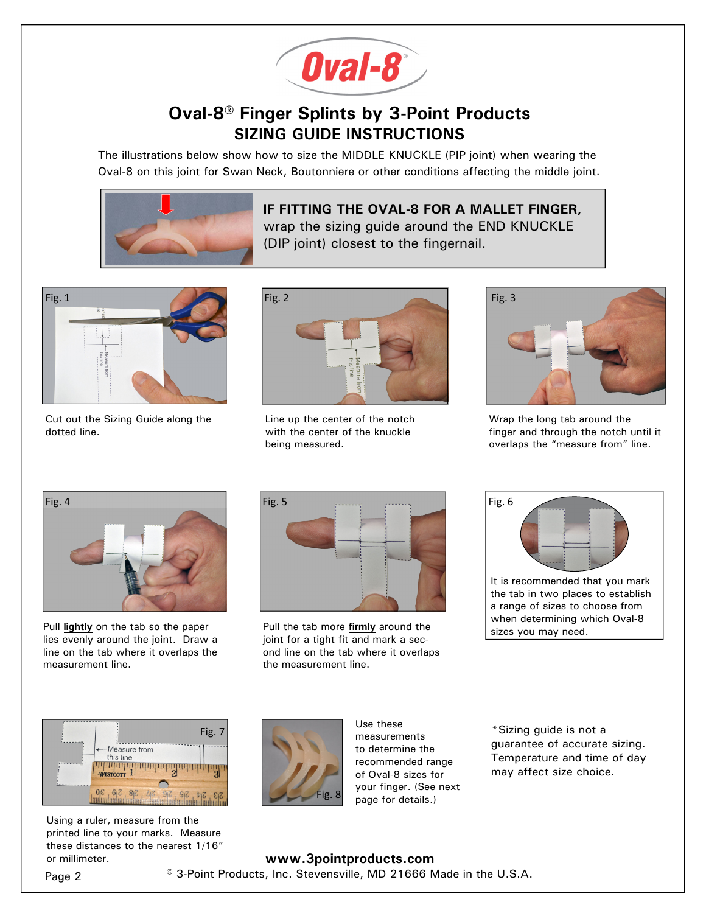

# **Oval-8® Finger Splints by 3-Point Products SIZING GUIDE INSTRUCTIONS**

The illustrations below show how to size the MIDDLE KNUCKLE (PIP joint) when wearing the Oval-8 on this joint for Swan Neck, Boutonniere or other conditions affecting the middle joint.



### **IF FITTING THE OVAL-8 FOR A MALLET FINGER,**  wrap the sizing guide around the END KNUCKLE (DIP joint) closest to the fingernail.



Cut out the Sizing Guide along the dotted line.



Line up the center of the notch with the center of the knuckle being measured.



Wrap the long tab around the finger and through the notch until it overlaps the "measure from" line.



Pull **lightly** on the tab so the paper lies evenly around the joint. Draw a line on the tab where it overlaps the measurement line.



Pull the tab more **firmly** around the joint for a tight fit and mark a second line on the tab where it overlaps the measurement line.

| Fig. 6 |                                 |
|--------|---------------------------------|
|        | It is recommended that you mark |

the tab in two places to establish a range of sizes to choose from when determining which Oval-8 sizes you may need.



Using a ruler, measure from the printed line to your marks. Measure these distances to the nearest 1/16" or millimeter.



Use these measurements to determine the recommended range of Oval-8 sizes for your finger. (See next page for details.)

\*Sizing guide is not a guarantee of accurate sizing. Temperature and time of day may affect size choice.

### **www.3pointproducts.com**  Page 2  $\degree$  3-Point Products, Inc. Stevensville, MD 21666 Made in the U.S.A.